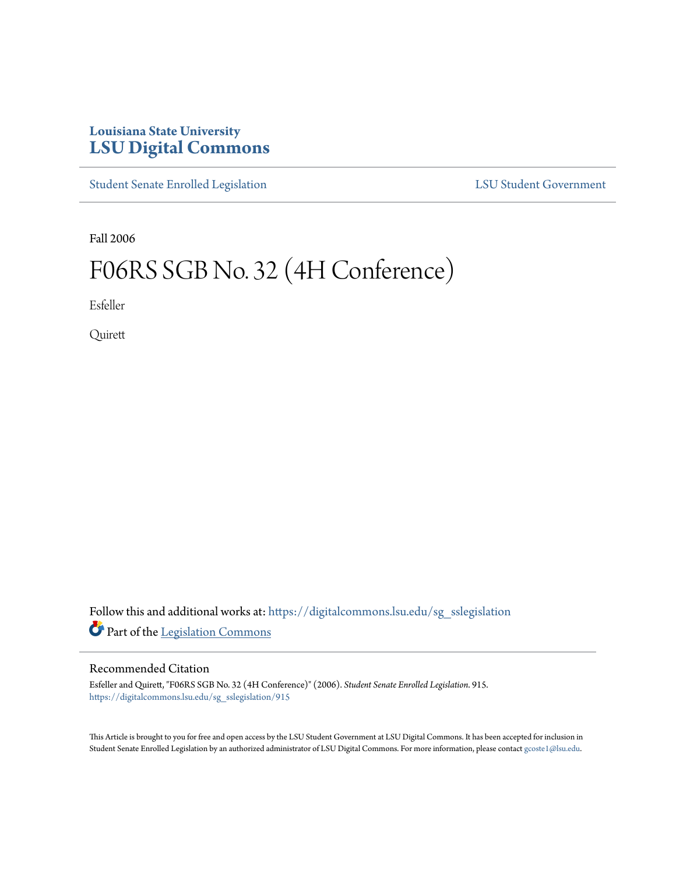## **Louisiana State University [LSU Digital Commons](https://digitalcommons.lsu.edu?utm_source=digitalcommons.lsu.edu%2Fsg_sslegislation%2F915&utm_medium=PDF&utm_campaign=PDFCoverPages)**

[Student Senate Enrolled Legislation](https://digitalcommons.lsu.edu/sg_sslegislation?utm_source=digitalcommons.lsu.edu%2Fsg_sslegislation%2F915&utm_medium=PDF&utm_campaign=PDFCoverPages) [LSU Student Government](https://digitalcommons.lsu.edu/sg?utm_source=digitalcommons.lsu.edu%2Fsg_sslegislation%2F915&utm_medium=PDF&utm_campaign=PDFCoverPages)

Fall 2006

## F06RS SGB No. 32 (4H Conference)

Esfeller

Quirett

Follow this and additional works at: [https://digitalcommons.lsu.edu/sg\\_sslegislation](https://digitalcommons.lsu.edu/sg_sslegislation?utm_source=digitalcommons.lsu.edu%2Fsg_sslegislation%2F915&utm_medium=PDF&utm_campaign=PDFCoverPages) Part of the [Legislation Commons](http://network.bepress.com/hgg/discipline/859?utm_source=digitalcommons.lsu.edu%2Fsg_sslegislation%2F915&utm_medium=PDF&utm_campaign=PDFCoverPages)

## Recommended Citation

Esfeller and Quirett, "F06RS SGB No. 32 (4H Conference)" (2006). *Student Senate Enrolled Legislation*. 915. [https://digitalcommons.lsu.edu/sg\\_sslegislation/915](https://digitalcommons.lsu.edu/sg_sslegislation/915?utm_source=digitalcommons.lsu.edu%2Fsg_sslegislation%2F915&utm_medium=PDF&utm_campaign=PDFCoverPages)

This Article is brought to you for free and open access by the LSU Student Government at LSU Digital Commons. It has been accepted for inclusion in Student Senate Enrolled Legislation by an authorized administrator of LSU Digital Commons. For more information, please contact [gcoste1@lsu.edu.](mailto:gcoste1@lsu.edu)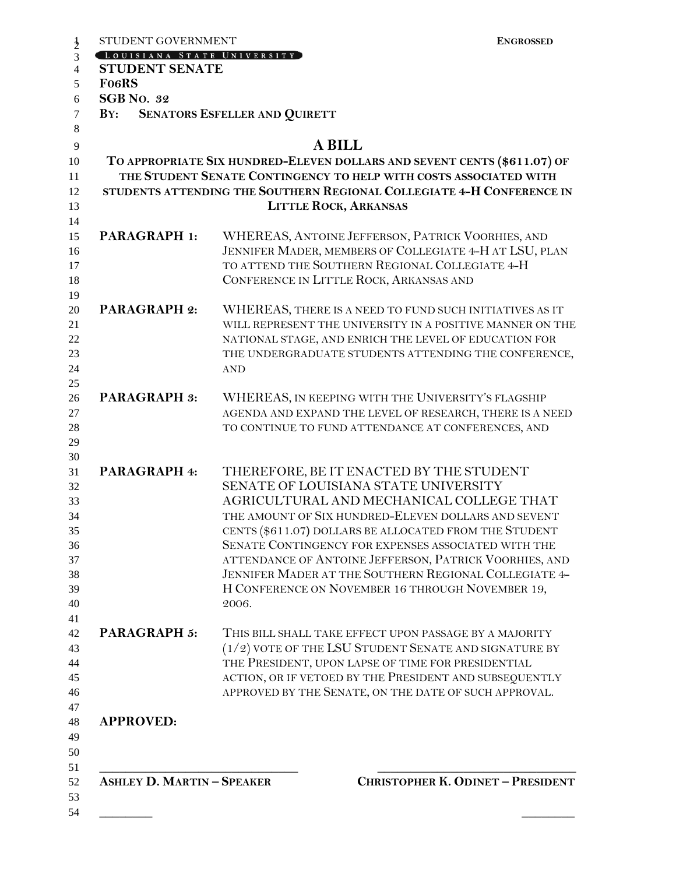| <b>STUDENT SENATE</b><br><b>Fo6RS</b><br><b>SGB</b> No. 32<br><b>SENATORS ESFELLER AND QUIRETT</b><br>$\mathbf{B} \mathbf{Y}$ :<br><b>A BILL</b><br>TO APPROPRIATE SIX HUNDRED-ELEVEN DOLLARS AND SEVENT CENTS (\$611.07) OF<br>THE STUDENT SENATE CONTINGENCY TO HELP WITH COSTS ASSOCIATED WITH<br>STUDENTS ATTENDING THE SOUTHERN REGIONAL COLLEGIATE 4-H CONFERENCE IN<br><b>LITTLE ROCK, ARKANSAS</b><br><b>PARAGRAPH 1:</b><br>WHEREAS, ANTOINE JEFFERSON, PATRICK VOORHIES, AND<br>JENNIFER MADER, MEMBERS OF COLLEGIATE 4-H AT LSU, PLAN<br>TO ATTEND THE SOUTHERN REGIONAL COLLEGIATE 4-H<br>CONFERENCE IN LITTLE ROCK, ARKANSAS AND<br><b>AND</b><br><b>PARAGRAPH 3:</b><br>THEREFORE, BE IT ENACTED BY THE STUDENT<br>PARAGRAPH 4:<br>SENATE OF LOUISIANA STATE UNIVERSITY<br>AGRICULTURAL AND MECHANICAL COLLEGE THAT<br>THE AMOUNT OF SIX HUNDRED-ELEVEN DOLLARS AND SEVENT<br>CENTS (\$611.07) DOLLARS BE ALLOCATED FROM THE STUDENT<br>SENATE CONTINGENCY FOR EXPENSES ASSOCIATED WITH THE<br>ATTENDANCE OF ANTOINE JEFFERSON, PATRICK VOORHIES, AND<br>2006.<br><b>PARAGRAPH 5:</b><br>$(1/2)$ VOTE OF THE LSU STUDENT SENATE AND SIGNATURE BY<br>THE PRESIDENT, UPON LAPSE OF TIME FOR PRESIDENTIAL<br>ACTION, OR IF VETOED BY THE PRESIDENT AND SUBSEQUENTLY<br>APPROVED BY THE SENATE, ON THE DATE OF SUCH APPROVAL.<br><b>APPROVED:</b> | LOUISIANA STATE UNIVERSITY |                                                           |
|-------------------------------------------------------------------------------------------------------------------------------------------------------------------------------------------------------------------------------------------------------------------------------------------------------------------------------------------------------------------------------------------------------------------------------------------------------------------------------------------------------------------------------------------------------------------------------------------------------------------------------------------------------------------------------------------------------------------------------------------------------------------------------------------------------------------------------------------------------------------------------------------------------------------------------------------------------------------------------------------------------------------------------------------------------------------------------------------------------------------------------------------------------------------------------------------------------------------------------------------------------------------------------------------------------------------------------------------------------------|----------------------------|-----------------------------------------------------------|
|                                                                                                                                                                                                                                                                                                                                                                                                                                                                                                                                                                                                                                                                                                                                                                                                                                                                                                                                                                                                                                                                                                                                                                                                                                                                                                                                                             |                            |                                                           |
|                                                                                                                                                                                                                                                                                                                                                                                                                                                                                                                                                                                                                                                                                                                                                                                                                                                                                                                                                                                                                                                                                                                                                                                                                                                                                                                                                             |                            |                                                           |
|                                                                                                                                                                                                                                                                                                                                                                                                                                                                                                                                                                                                                                                                                                                                                                                                                                                                                                                                                                                                                                                                                                                                                                                                                                                                                                                                                             |                            |                                                           |
|                                                                                                                                                                                                                                                                                                                                                                                                                                                                                                                                                                                                                                                                                                                                                                                                                                                                                                                                                                                                                                                                                                                                                                                                                                                                                                                                                             |                            |                                                           |
|                                                                                                                                                                                                                                                                                                                                                                                                                                                                                                                                                                                                                                                                                                                                                                                                                                                                                                                                                                                                                                                                                                                                                                                                                                                                                                                                                             |                            |                                                           |
|                                                                                                                                                                                                                                                                                                                                                                                                                                                                                                                                                                                                                                                                                                                                                                                                                                                                                                                                                                                                                                                                                                                                                                                                                                                                                                                                                             |                            |                                                           |
|                                                                                                                                                                                                                                                                                                                                                                                                                                                                                                                                                                                                                                                                                                                                                                                                                                                                                                                                                                                                                                                                                                                                                                                                                                                                                                                                                             |                            |                                                           |
|                                                                                                                                                                                                                                                                                                                                                                                                                                                                                                                                                                                                                                                                                                                                                                                                                                                                                                                                                                                                                                                                                                                                                                                                                                                                                                                                                             |                            |                                                           |
|                                                                                                                                                                                                                                                                                                                                                                                                                                                                                                                                                                                                                                                                                                                                                                                                                                                                                                                                                                                                                                                                                                                                                                                                                                                                                                                                                             |                            |                                                           |
|                                                                                                                                                                                                                                                                                                                                                                                                                                                                                                                                                                                                                                                                                                                                                                                                                                                                                                                                                                                                                                                                                                                                                                                                                                                                                                                                                             |                            |                                                           |
|                                                                                                                                                                                                                                                                                                                                                                                                                                                                                                                                                                                                                                                                                                                                                                                                                                                                                                                                                                                                                                                                                                                                                                                                                                                                                                                                                             |                            |                                                           |
|                                                                                                                                                                                                                                                                                                                                                                                                                                                                                                                                                                                                                                                                                                                                                                                                                                                                                                                                                                                                                                                                                                                                                                                                                                                                                                                                                             |                            |                                                           |
|                                                                                                                                                                                                                                                                                                                                                                                                                                                                                                                                                                                                                                                                                                                                                                                                                                                                                                                                                                                                                                                                                                                                                                                                                                                                                                                                                             |                            |                                                           |
|                                                                                                                                                                                                                                                                                                                                                                                                                                                                                                                                                                                                                                                                                                                                                                                                                                                                                                                                                                                                                                                                                                                                                                                                                                                                                                                                                             | <b>PARAGRAPH 2:</b>        | WHEREAS, THERE IS A NEED TO FUND SUCH INITIATIVES AS IT   |
|                                                                                                                                                                                                                                                                                                                                                                                                                                                                                                                                                                                                                                                                                                                                                                                                                                                                                                                                                                                                                                                                                                                                                                                                                                                                                                                                                             |                            | WILL REPRESENT THE UNIVERSITY IN A POSITIVE MANNER ON THE |
|                                                                                                                                                                                                                                                                                                                                                                                                                                                                                                                                                                                                                                                                                                                                                                                                                                                                                                                                                                                                                                                                                                                                                                                                                                                                                                                                                             |                            | NATIONAL STAGE, AND ENRICH THE LEVEL OF EDUCATION FOR     |
|                                                                                                                                                                                                                                                                                                                                                                                                                                                                                                                                                                                                                                                                                                                                                                                                                                                                                                                                                                                                                                                                                                                                                                                                                                                                                                                                                             |                            | THE UNDERGRADUATE STUDENTS ATTENDING THE CONFERENCE,      |
|                                                                                                                                                                                                                                                                                                                                                                                                                                                                                                                                                                                                                                                                                                                                                                                                                                                                                                                                                                                                                                                                                                                                                                                                                                                                                                                                                             |                            |                                                           |
|                                                                                                                                                                                                                                                                                                                                                                                                                                                                                                                                                                                                                                                                                                                                                                                                                                                                                                                                                                                                                                                                                                                                                                                                                                                                                                                                                             |                            |                                                           |
|                                                                                                                                                                                                                                                                                                                                                                                                                                                                                                                                                                                                                                                                                                                                                                                                                                                                                                                                                                                                                                                                                                                                                                                                                                                                                                                                                             |                            | WHEREAS, IN KEEPING WITH THE UNIVERSITY'S FLAGSHIP        |
|                                                                                                                                                                                                                                                                                                                                                                                                                                                                                                                                                                                                                                                                                                                                                                                                                                                                                                                                                                                                                                                                                                                                                                                                                                                                                                                                                             |                            | AGENDA AND EXPAND THE LEVEL OF RESEARCH, THERE IS A NEED  |
|                                                                                                                                                                                                                                                                                                                                                                                                                                                                                                                                                                                                                                                                                                                                                                                                                                                                                                                                                                                                                                                                                                                                                                                                                                                                                                                                                             |                            | TO CONTINUE TO FUND ATTENDANCE AT CONFERENCES, AND        |
|                                                                                                                                                                                                                                                                                                                                                                                                                                                                                                                                                                                                                                                                                                                                                                                                                                                                                                                                                                                                                                                                                                                                                                                                                                                                                                                                                             |                            |                                                           |
|                                                                                                                                                                                                                                                                                                                                                                                                                                                                                                                                                                                                                                                                                                                                                                                                                                                                                                                                                                                                                                                                                                                                                                                                                                                                                                                                                             |                            |                                                           |
|                                                                                                                                                                                                                                                                                                                                                                                                                                                                                                                                                                                                                                                                                                                                                                                                                                                                                                                                                                                                                                                                                                                                                                                                                                                                                                                                                             |                            |                                                           |
|                                                                                                                                                                                                                                                                                                                                                                                                                                                                                                                                                                                                                                                                                                                                                                                                                                                                                                                                                                                                                                                                                                                                                                                                                                                                                                                                                             |                            |                                                           |
|                                                                                                                                                                                                                                                                                                                                                                                                                                                                                                                                                                                                                                                                                                                                                                                                                                                                                                                                                                                                                                                                                                                                                                                                                                                                                                                                                             |                            |                                                           |
|                                                                                                                                                                                                                                                                                                                                                                                                                                                                                                                                                                                                                                                                                                                                                                                                                                                                                                                                                                                                                                                                                                                                                                                                                                                                                                                                                             |                            |                                                           |
|                                                                                                                                                                                                                                                                                                                                                                                                                                                                                                                                                                                                                                                                                                                                                                                                                                                                                                                                                                                                                                                                                                                                                                                                                                                                                                                                                             |                            |                                                           |
|                                                                                                                                                                                                                                                                                                                                                                                                                                                                                                                                                                                                                                                                                                                                                                                                                                                                                                                                                                                                                                                                                                                                                                                                                                                                                                                                                             |                            |                                                           |
|                                                                                                                                                                                                                                                                                                                                                                                                                                                                                                                                                                                                                                                                                                                                                                                                                                                                                                                                                                                                                                                                                                                                                                                                                                                                                                                                                             |                            | JENNIFER MADER AT THE SOUTHERN REGIONAL COLLEGIATE 4-     |
|                                                                                                                                                                                                                                                                                                                                                                                                                                                                                                                                                                                                                                                                                                                                                                                                                                                                                                                                                                                                                                                                                                                                                                                                                                                                                                                                                             |                            | H CONFERENCE ON NOVEMBER 16 THROUGH NOVEMBER 19,          |
|                                                                                                                                                                                                                                                                                                                                                                                                                                                                                                                                                                                                                                                                                                                                                                                                                                                                                                                                                                                                                                                                                                                                                                                                                                                                                                                                                             |                            |                                                           |
|                                                                                                                                                                                                                                                                                                                                                                                                                                                                                                                                                                                                                                                                                                                                                                                                                                                                                                                                                                                                                                                                                                                                                                                                                                                                                                                                                             |                            |                                                           |
|                                                                                                                                                                                                                                                                                                                                                                                                                                                                                                                                                                                                                                                                                                                                                                                                                                                                                                                                                                                                                                                                                                                                                                                                                                                                                                                                                             |                            | THIS BILL SHALL TAKE EFFECT UPON PASSAGE BY A MAJORITY    |
|                                                                                                                                                                                                                                                                                                                                                                                                                                                                                                                                                                                                                                                                                                                                                                                                                                                                                                                                                                                                                                                                                                                                                                                                                                                                                                                                                             |                            |                                                           |
|                                                                                                                                                                                                                                                                                                                                                                                                                                                                                                                                                                                                                                                                                                                                                                                                                                                                                                                                                                                                                                                                                                                                                                                                                                                                                                                                                             |                            |                                                           |
|                                                                                                                                                                                                                                                                                                                                                                                                                                                                                                                                                                                                                                                                                                                                                                                                                                                                                                                                                                                                                                                                                                                                                                                                                                                                                                                                                             |                            |                                                           |
|                                                                                                                                                                                                                                                                                                                                                                                                                                                                                                                                                                                                                                                                                                                                                                                                                                                                                                                                                                                                                                                                                                                                                                                                                                                                                                                                                             |                            |                                                           |
|                                                                                                                                                                                                                                                                                                                                                                                                                                                                                                                                                                                                                                                                                                                                                                                                                                                                                                                                                                                                                                                                                                                                                                                                                                                                                                                                                             |                            |                                                           |
|                                                                                                                                                                                                                                                                                                                                                                                                                                                                                                                                                                                                                                                                                                                                                                                                                                                                                                                                                                                                                                                                                                                                                                                                                                                                                                                                                             |                            |                                                           |
|                                                                                                                                                                                                                                                                                                                                                                                                                                                                                                                                                                                                                                                                                                                                                                                                                                                                                                                                                                                                                                                                                                                                                                                                                                                                                                                                                             |                            |                                                           |
| <b>ASHLEY D. MARTIN - SPEAKER</b>                                                                                                                                                                                                                                                                                                                                                                                                                                                                                                                                                                                                                                                                                                                                                                                                                                                                                                                                                                                                                                                                                                                                                                                                                                                                                                                           |                            | <b>CHRISTOPHER K. ODINET - PRESIDENT</b>                  |